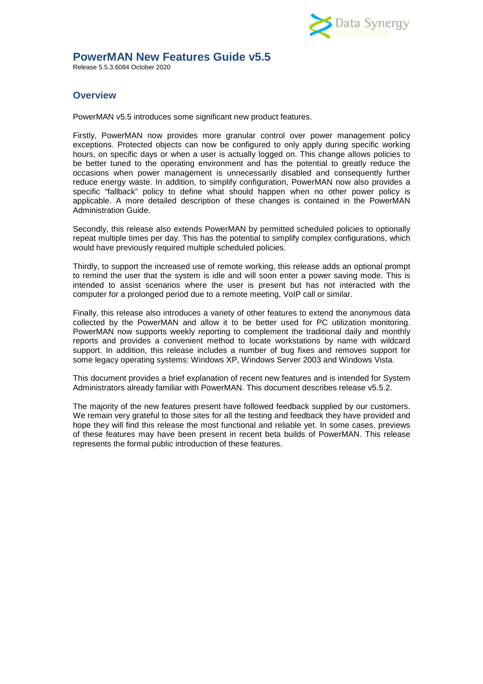

## **PowerMAN New Features Guide v5.5**

Release 5.5.3.6084 October 2020

# **Overview**

PowerMAN v5.5 introduces some significant new product features.

Firstly, PowerMAN now provides more granular control over power management policy exceptions. Protected objects can now be configured to only apply during specific working hours, on specific days or when a user is actually logged on. This change allows policies to be better tuned to the operating environment and has the potential to greatly reduce the occasions when power management is unnecessarily disabled and consequently further reduce energy waste. In addition, to simplify configuration, PowerMAN now also provides a specific "fallback" policy to define what should happen when no other power policy is applicable. A more detailed description of these changes is contained in the PowerMAN Administration Guide.

Secondly, this release also extends PowerMAN by permitted scheduled policies to optionally repeat multiple times per day. This has the potential to simplify complex configurations, which would have previously required multiple scheduled policies.

Thirdly, to support the increased use of remote working, this release adds an optional prompt to remind the user that the system is idle and will soon enter a power saving mode. This is intended to assist scenarios where the user is present but has not interacted with the computer for a prolonged period due to a remote meeting, VoIP call or similar.

Finally, this release also introduces a variety of other features to extend the anonymous data collected by the PowerMAN and allow it to be better used for PC utilization monitoring. PowerMAN now supports weekly reporting to complement the traditional daily and monthly reports and provides a convenient method to locate workstations by name with wildcard support. In addition, this release includes a number of bug fixes and removes support for some legacy operating systems: Windows XP, Windows Server 2003 and Windows Vista.

This document provides a brief explanation of recent new features and is intended for System Administrators already familiar with PowerMAN. This document describes release v5.5.2.

The majority of the new features present have followed feedback supplied by our customers. We remain very grateful to those sites for all the testing and feedback they have provided and hope they will find this release the most functional and reliable yet. In some cases, previews of these features may have been present in recent beta builds of PowerMAN. This release represents the formal public introduction of these features.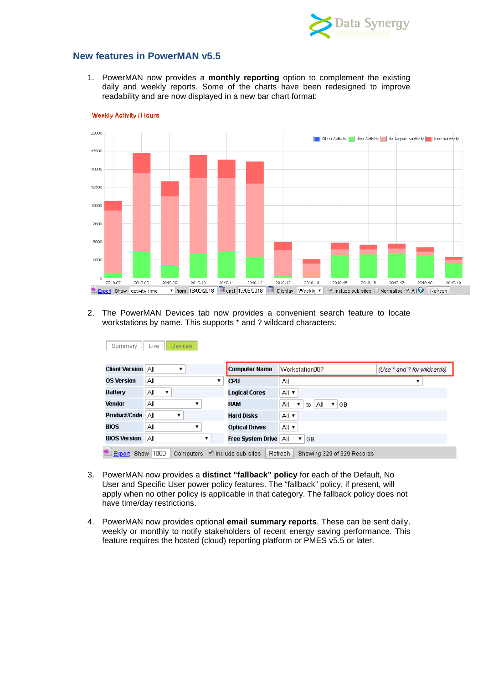

### **New features in PowerMAN v5.5**

1. PowerMAN now provides a **monthly reporting** option to complement the existing daily and weekly reports. Some of the charts have been redesigned to improve readability and are now displayed in a new bar chart format:



Weekly Activity / Hours

2. The PowerMAN Devices tab now provides a convenient search feature to locate workstations by name. This supports \* and ? wildcard characters:

| Summary               | Live<br>Devices |   |                               |                                                   |                             |
|-----------------------|-----------------|---|-------------------------------|---------------------------------------------------|-----------------------------|
| <b>Client Version</b> | All<br>▼        |   | <b>Computer Name</b>          | WorkstationOO?                                    | (Use * and ? for wildcards) |
| <b>OS Version</b>     | ΑIΙ             | ▼ | <b>CPU</b>                    | ΑIΙ                                               |                             |
| <b>Battery</b>        | All<br>▼        |   | <b>Logical Cores</b>          | All ▼                                             |                             |
| <b>Vendor</b>         | ΑIΙ             |   | <b>RAM</b>                    | ΑIΙ<br>All<br>$\pmb{\mathrm{v}}$<br>to<br>▼<br>GB |                             |
| Product/Code          | ΑIΙ             |   | <b>Hard Disks</b>             | All ▼                                             |                             |
| <b>BIOS</b>           | ΑIΙ             |   | <b>Optical Drives</b>         | All ▼                                             |                             |
| <b>BIOS Version</b>   | ΑIΙ             | ▼ | Free System Drive   All       | I GB                                              |                             |
| Export Show 1000      |                 |   | Computers ■ Include sub-sites | Refresh<br>Showing 329 of 329 Records             |                             |

- 3. PowerMAN now provides a **distinct "fallback" policy** for each of the Default, No User and Specific User power policy features. The "fallback" policy, if present, will apply when no other policy is applicable in that category. The fallback policy does not have time/day restrictions.
- 4. PowerMAN now provides optional **email summary reports**. These can be sent daily, weekly or monthly to notify stakeholders of recent energy saving performance. This feature requires the hosted (cloud) reporting platform or PMES v5.5 or later.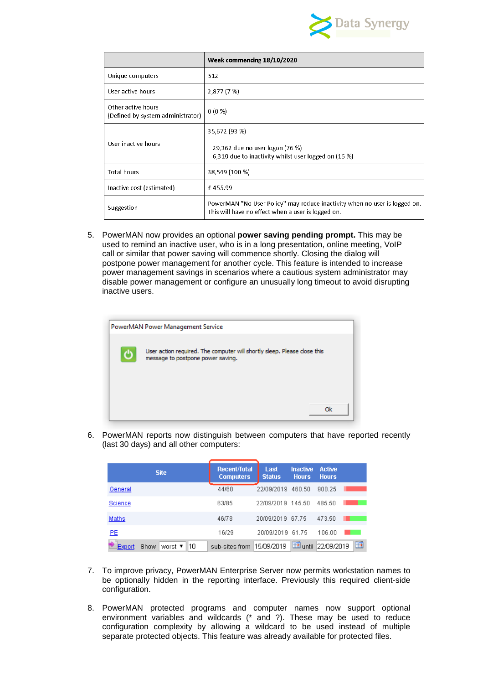

|                                                         | Week commencing 18/10/2020                                                                                                       |
|---------------------------------------------------------|----------------------------------------------------------------------------------------------------------------------------------|
| Unique computers                                        | 512                                                                                                                              |
| User active hours                                       | 2,877 (7 %)                                                                                                                      |
| Other active hours<br>(Defined by system administrator) | $0(0\%)$                                                                                                                         |
| User inactive hours                                     | 35,672 (93 %)<br>29,362 due no user logon (76 %)<br>6,310 due to inactivity whilst user logged on (16 %)                         |
| <b>Total hours</b>                                      | 38,549 (100 %)                                                                                                                   |
| Inactive cost (estimated)                               | £455.99                                                                                                                          |
| Suggestion                                              | PowerMAN "No User Policy" may reduce inactivity when no user is logged on.<br>This will have no effect when a user is logged on. |

5. PowerMAN now provides an optional **power saving pending prompt.** This may be used to remind an inactive user, who is in a long presentation, online meeting, VoIP call or similar that power saving will commence shortly. Closing the dialog will postpone power management for another cycle. This feature is intended to increase power management savings in scenarios where a cautious system administrator may disable power management or configure an unusually long timeout to avoid disrupting inactive users.

| PowerMAN Power Management Service                                                                             |  |
|---------------------------------------------------------------------------------------------------------------|--|
| User action required. The computer will shortly sleep. Please close this<br>message to postpone power saving. |  |
| Ok                                                                                                            |  |

6. PowerMAN reports now distinguish between computers that have reported recently (last 30 days) and all other computers:

| <b>Site</b>                      | Recent/Total<br><b>Computers</b> | Last<br><b>Status</b> | <b>Inactive</b><br><b>Hours</b> | <b>Active</b><br><b>Hours</b> |
|----------------------------------|----------------------------------|-----------------------|---------------------------------|-------------------------------|
| General                          | 44/68                            | 22/09/2019            | 460.50                          | 908.25                        |
| Science                          | 63/85                            | 22/09/2019 145.50     |                                 | 485.50                        |
| Maths                            | 46/78                            | 20/09/2019 67.75      |                                 | 473.50                        |
| <u>PE</u>                        | 16/29                            | 20/09/2019 61.75      |                                 | 106.00                        |
| 110<br>worst ▼<br>Show<br>Export | sub-sites from                   | 15/09/2019            | commo<br>until                  | m<br>22/09/2019               |

- 7. To improve privacy, PowerMAN Enterprise Server now permits workstation names to be optionally hidden in the reporting interface. Previously this required client-side configuration.
- 8. PowerMAN protected programs and computer names now support optional environment variables and wildcards (\* and ?). These may be used to reduce configuration complexity by allowing a wildcard to be used instead of multiple separate protected objects. This feature was already available for protected files.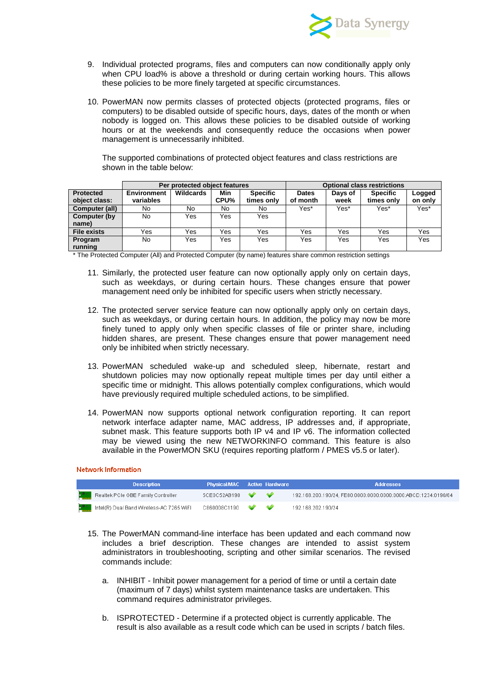

- 9. Individual protected programs, files and computers can now conditionally apply only when CPU load% is above a threshold or during certain working hours. This allows these policies to be more finely targeted at specific circumstances.
- 10. PowerMAN now permits classes of protected objects (protected programs, files or computers) to be disabled outside of specific hours, days, dates of the month or when nobody is logged on. This allows these policies to be disabled outside of working hours or at the weekends and consequently reduce the occasions when power management is unnecessarily inhibited.

The supported combinations of protected object features and class restrictions are shown in the table below:

|                    |             | Per protected object features |      |                 |              |         | <b>Optional class restrictions</b> |         |
|--------------------|-------------|-------------------------------|------|-----------------|--------------|---------|------------------------------------|---------|
| <b>Protected</b>   | Environment | Wildcards                     | Min  | <b>Specific</b> | <b>Dates</b> | Days of | <b>Specific</b>                    | Logged  |
| object class:      | variables   |                               | CPU% | times only      | of month     | week    | times only                         | on only |
| Computer (all)     | No.         | No                            | No   | No              | Yes*         | Yes*    | Yes*                               | Yes*    |
| Computer (by       | No.         | Yes                           | Yes. | Yes             |              |         |                                    |         |
| name)              |             |                               |      |                 |              |         |                                    |         |
| <b>File exists</b> | Yes         | Yes                           | Yes  | Yes             | Yes          | Yes     | Yes                                | Yes     |
| Program            | No.         | Yes                           | Yes. | Yes             | Yes          | Yes     | Yes                                | Yes     |
| running            |             |                               |      |                 |              |         |                                    |         |

\* The Protected Computer (All) and Protected Computer (by name) features share common restriction settings

- 11. Similarly, the protected user feature can now optionally apply only on certain days, such as weekdays, or during certain hours. These changes ensure that power management need only be inhibited for specific users when strictly necessary.
- 12. The protected server service feature can now optionally apply only on certain days, such as weekdays, or during certain hours. In addition, the policy may now be more finely tuned to apply only when specific classes of file or printer share, including hidden shares, are present. These changes ensure that power management need only be inhibited when strictly necessary.
- 13. PowerMAN scheduled wake-up and scheduled sleep, hibernate, restart and shutdown policies may now optionally repeat multiple times per day until either a specific time or midnight. This allows potentially complex configurations, which would have previously required multiple scheduled actions, to be simplified.
- 14. PowerMAN now supports optional network configuration reporting. It can report network interface adapter name, MAC address, IP addresses and, if appropriate, subnet mask. This feature supports both IP v4 and IP v6. The information collected may be viewed using the new NETWORKINFO command. This feature is also available in the PowerMON SKU (requires reporting platform / PMES v5.5 or later).

#### **Network Information**

| <b>Description</b>                                                                                                    | Physical/MAC Active Hardware |  | <b>Addresses</b>                                               |
|-----------------------------------------------------------------------------------------------------------------------|------------------------------|--|----------------------------------------------------------------|
| <b>Realisk PCIe GBE Family Controller</b>                                                                             | $5$ CE0C52AB190              |  | 192.168.200.190/24, FE80:0000:0000:0000:0000:ABCD:1234:0190/64 |
| $\frac{1}{2}$ and $\frac{1}{2}$ intel(R) Dual Band Wireless-AC 7265 WiFl $\qquad$ C860008C1190 $\qquad \blacklozenge$ |                              |  | 192.168.202.190/24                                             |

- 15. The PowerMAN command-line interface has been updated and each command now includes a brief description. These changes are intended to assist system administrators in troubleshooting, scripting and other similar scenarios. The revised commands include:
	- a. INHIBIT Inhibit power management for a period of time or until a certain date (maximum of 7 days) whilst system maintenance tasks are undertaken. This command requires administrator privileges.
	- b. ISPROTECTED Determine if a protected object is currently applicable. The result is also available as a result code which can be used in scripts / batch files.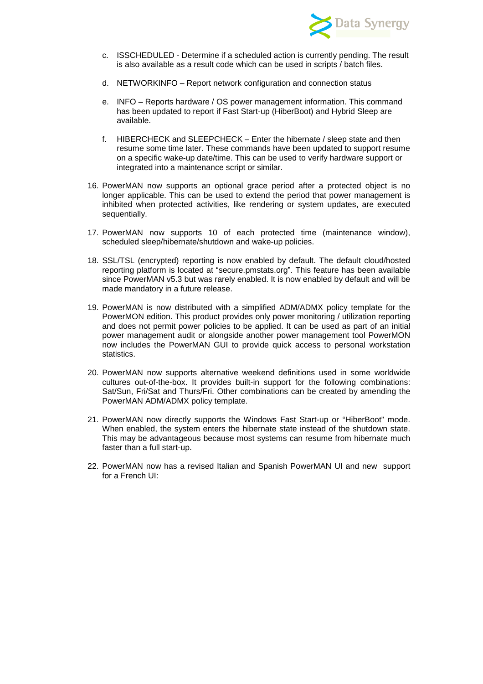

- c. ISSCHEDULED Determine if a scheduled action is currently pending. The result is also available as a result code which can be used in scripts / batch files.
- d. NETWORKINFO Report network configuration and connection status
- e. INFO Reports hardware / OS power management information. This command has been updated to report if Fast Start-up (HiberBoot) and Hybrid Sleep are available.
- f. HIBERCHECK and SLEEPCHECK Enter the hibernate / sleep state and then resume some time later. These commands have been updated to support resume on a specific wake-up date/time. This can be used to verify hardware support or integrated into a maintenance script or similar.
- 16. PowerMAN now supports an optional grace period after a protected object is no longer applicable. This can be used to extend the period that power management is inhibited when protected activities, like rendering or system updates, are executed sequentially.
- 17. PowerMAN now supports 10 of each protected time (maintenance window), scheduled sleep/hibernate/shutdown and wake-up policies.
- 18. SSL/TSL (encrypted) reporting is now enabled by default. The default cloud/hosted reporting platform is located at "secure.pmstats.org". This feature has been available since PowerMAN v5.3 but was rarely enabled. It is now enabled by default and will be made mandatory in a future release.
- 19. PowerMAN is now distributed with a simplified ADM/ADMX policy template for the PowerMON edition. This product provides only power monitoring / utilization reporting and does not permit power policies to be applied. It can be used as part of an initial power management audit or alongside another power management tool PowerMON now includes the PowerMAN GUI to provide quick access to personal workstation statistics.
- 20. PowerMAN now supports alternative weekend definitions used in some worldwide cultures out-of-the-box. It provides built-in support for the following combinations: Sat/Sun, Fri/Sat and Thurs/Fri. Other combinations can be created by amending the PowerMAN ADM/ADMX policy template.
- 21. PowerMAN now directly supports the Windows Fast Start-up or "HiberBoot" mode. When enabled, the system enters the hibernate state instead of the shutdown state. This may be advantageous because most systems can resume from hibernate much faster than a full start-up.
- 22. PowerMAN now has a revised Italian and Spanish PowerMAN UI and new support for a French UI: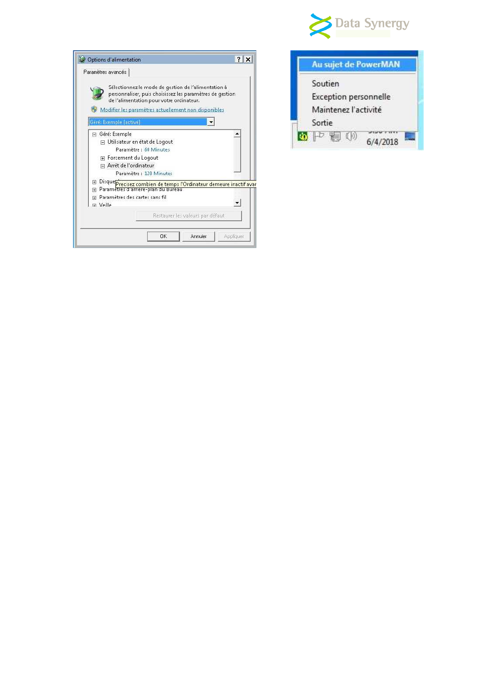

| Options d'alimentation                                |                                                                                                                                                                                                                     | 2         |
|-------------------------------------------------------|---------------------------------------------------------------------------------------------------------------------------------------------------------------------------------------------------------------------|-----------|
| Paramètres avancés                                    |                                                                                                                                                                                                                     |           |
|                                                       | Sélectionnez le mode de gestion de l'alimentation à<br>personnaliser, puis choisissez les paramètres de gestion<br>de l'alimentation pour votre ordinateur.<br>Modifier les paramètres actuellement non disponibles |           |
| Gére: Exemple [active]                                |                                                                                                                                                                                                                     |           |
| Géré: Exemple                                         |                                                                                                                                                                                                                     |           |
| □ Utilisateur en état de Logout                       |                                                                                                                                                                                                                     |           |
|                                                       | Paramètre : 60 Minutes                                                                                                                                                                                              |           |
| 国 Forcement du Logout                                 |                                                                                                                                                                                                                     |           |
| □ Arrêt de l'ordinateur                               |                                                                                                                                                                                                                     |           |
|                                                       | Paramètre : 120 Minutes                                                                                                                                                                                             |           |
| $\overline{+}$                                        | Disque precisez combien de temps l'Ordinateur demeure inactif avar                                                                                                                                                  |           |
| Parametres d'arriere-plan du Bureau<br>$\overline{+}$ |                                                                                                                                                                                                                     |           |
| Paramètres des cartes sans fil<br>闸                   |                                                                                                                                                                                                                     |           |
| El Veille                                             |                                                                                                                                                                                                                     |           |
|                                                       | Restaurer les valeurs par défaut                                                                                                                                                                                    |           |
|                                                       |                                                                                                                                                                                                                     |           |
|                                                       |                                                                                                                                                                                                                     |           |
|                                                       | Annuler<br>OK                                                                                                                                                                                                       | Appliquer |